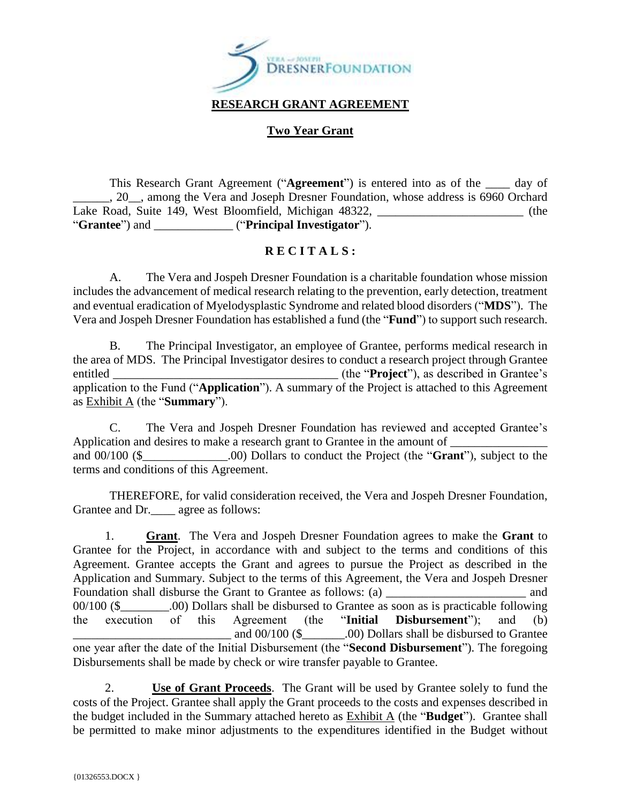

#### **Two Year Grant**

This Research Grant Agreement ("**Agreement**") is entered into as of the \_\_\_\_ day of \_\_\_\_\_\_, 20\_\_, among the Vera and Joseph Dresner Foundation, whose address is 6960 Orchard Lake Road, Suite 149, West Bloomfield, Michigan 48322, (the "**Grantee**") and \_\_\_\_\_\_\_\_\_\_\_\_\_ ("**Principal Investigator**").

#### **R E C I T A L S :**

A. The Vera and Jospeh Dresner Foundation is a charitable foundation whose mission includes the advancement of medical research relating to the prevention, early detection, treatment and eventual eradication of Myelodysplastic Syndrome and related blood disorders ("**MDS**"). The Vera and Jospeh Dresner Foundation has established a fund (the "**Fund**") to support such research.

B. The Principal Investigator, an employee of Grantee, performs medical research in the area of MDS. The Principal Investigator desires to conduct a research project through Grantee entitled **the "Project"**), as described in Grantee's application to the Fund ("**Application**"). A summary of the Project is attached to this Agreement as Exhibit A (the "**Summary**").

C. The Vera and Jospeh Dresner Foundation has reviewed and accepted Grantee's Application and desires to make a research grant to Grantee in the amount of and 00/100 (\$\_\_\_\_\_\_\_\_\_\_\_\_\_\_.00) Dollars to conduct the Project (the "**Grant**"), subject to the terms and conditions of this Agreement.

THEREFORE, for valid consideration received, the Vera and Jospeh Dresner Foundation, Grantee and Dr. \_\_\_\_ agree as follows:

1. **Grant**. The Vera and Jospeh Dresner Foundation agrees to make the **Grant** to Grantee for the Project, in accordance with and subject to the terms and conditions of this Agreement. Grantee accepts the Grant and agrees to pursue the Project as described in the Application and Summary. Subject to the terms of this Agreement, the Vera and Jospeh Dresner Foundation shall disburse the Grant to Grantee as follows: (a) and and 00/100 (\$\_\_\_\_\_\_\_\_.00) Dollars shall be disbursed to Grantee as soon as is practicable following the execution of this Agreement (the "**Initial Disbursement**"); and (b) and  $00/100$  (\$  $.00$ ) Dollars shall be disbursed to Grantee one year after the date of the Initial Disbursement (the "**Second Disbursement**"). The foregoing Disbursements shall be made by check or wire transfer payable to Grantee.

2. **Use of Grant Proceeds**. The Grant will be used by Grantee solely to fund the costs of the Project. Grantee shall apply the Grant proceeds to the costs and expenses described in the budget included in the Summary attached hereto as Exhibit A (the "**Budget**"). Grantee shall be permitted to make minor adjustments to the expenditures identified in the Budget without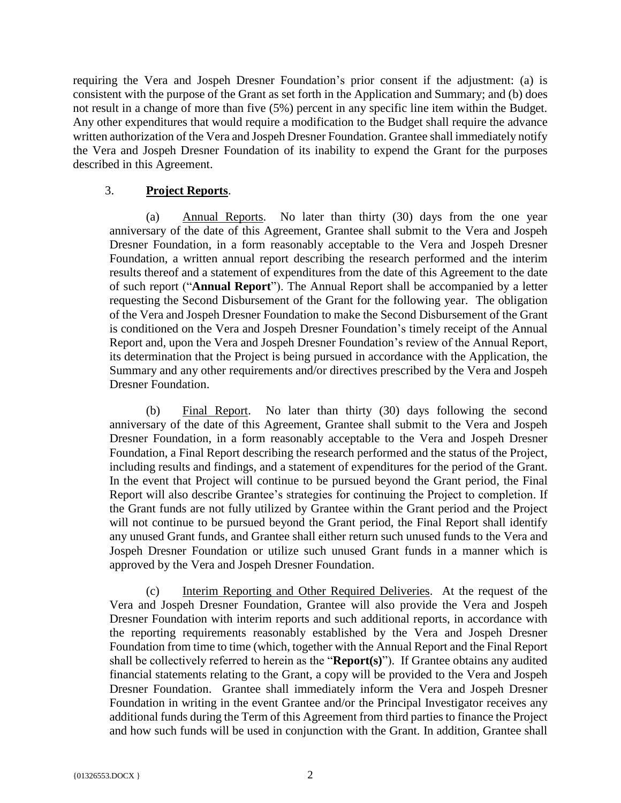requiring the Vera and Jospeh Dresner Foundation's prior consent if the adjustment: (a) is consistent with the purpose of the Grant as set forth in the Application and Summary; and (b) does not result in a change of more than five (5%) percent in any specific line item within the Budget. Any other expenditures that would require a modification to the Budget shall require the advance written authorization of the Vera and Jospeh Dresner Foundation. Grantee shall immediately notify the Vera and Jospeh Dresner Foundation of its inability to expend the Grant for the purposes described in this Agreement.

#### 3. **Project Reports**.

(a) Annual Reports. No later than thirty (30) days from the one year anniversary of the date of this Agreement, Grantee shall submit to the Vera and Jospeh Dresner Foundation, in a form reasonably acceptable to the Vera and Jospeh Dresner Foundation, a written annual report describing the research performed and the interim results thereof and a statement of expenditures from the date of this Agreement to the date of such report ("**Annual Report**"). The Annual Report shall be accompanied by a letter requesting the Second Disbursement of the Grant for the following year. The obligation of the Vera and Jospeh Dresner Foundation to make the Second Disbursement of the Grant is conditioned on the Vera and Jospeh Dresner Foundation's timely receipt of the Annual Report and, upon the Vera and Jospeh Dresner Foundation's review of the Annual Report, its determination that the Project is being pursued in accordance with the Application, the Summary and any other requirements and/or directives prescribed by the Vera and Jospeh Dresner Foundation.

(b) Final Report. No later than thirty (30) days following the second anniversary of the date of this Agreement, Grantee shall submit to the Vera and Jospeh Dresner Foundation, in a form reasonably acceptable to the Vera and Jospeh Dresner Foundation, a Final Report describing the research performed and the status of the Project, including results and findings, and a statement of expenditures for the period of the Grant. In the event that Project will continue to be pursued beyond the Grant period, the Final Report will also describe Grantee's strategies for continuing the Project to completion. If the Grant funds are not fully utilized by Grantee within the Grant period and the Project will not continue to be pursued beyond the Grant period, the Final Report shall identify any unused Grant funds, and Grantee shall either return such unused funds to the Vera and Jospeh Dresner Foundation or utilize such unused Grant funds in a manner which is approved by the Vera and Jospeh Dresner Foundation.

(c) Interim Reporting and Other Required Deliveries. At the request of the Vera and Jospeh Dresner Foundation, Grantee will also provide the Vera and Jospeh Dresner Foundation with interim reports and such additional reports, in accordance with the reporting requirements reasonably established by the Vera and Jospeh Dresner Foundation from time to time (which, together with the Annual Report and the Final Report shall be collectively referred to herein as the "**Report(s)**"). If Grantee obtains any audited financial statements relating to the Grant, a copy will be provided to the Vera and Jospeh Dresner Foundation. Grantee shall immediately inform the Vera and Jospeh Dresner Foundation in writing in the event Grantee and/or the Principal Investigator receives any additional funds during the Term of this Agreement from third parties to finance the Project and how such funds will be used in conjunction with the Grant. In addition, Grantee shall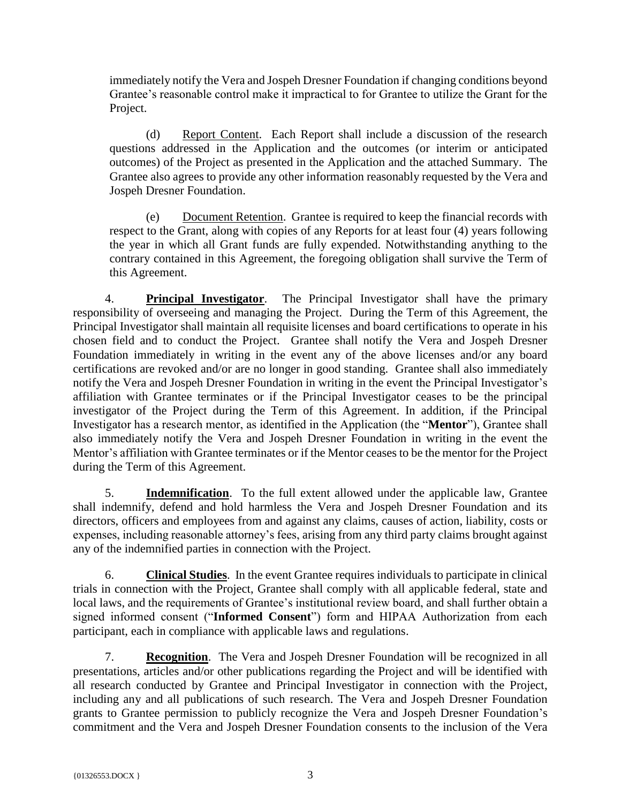immediately notify the Vera and Jospeh Dresner Foundation if changing conditions beyond Grantee's reasonable control make it impractical to for Grantee to utilize the Grant for the Project.

(d) Report Content. Each Report shall include a discussion of the research questions addressed in the Application and the outcomes (or interim or anticipated outcomes) of the Project as presented in the Application and the attached Summary. The Grantee also agrees to provide any other information reasonably requested by the Vera and Jospeh Dresner Foundation.

(e) Document Retention. Grantee is required to keep the financial records with respect to the Grant, along with copies of any Reports for at least four (4) years following the year in which all Grant funds are fully expended. Notwithstanding anything to the contrary contained in this Agreement, the foregoing obligation shall survive the Term of this Agreement.

4. **Principal Investigator**. The Principal Investigator shall have the primary responsibility of overseeing and managing the Project. During the Term of this Agreement, the Principal Investigator shall maintain all requisite licenses and board certifications to operate in his chosen field and to conduct the Project. Grantee shall notify the Vera and Jospeh Dresner Foundation immediately in writing in the event any of the above licenses and/or any board certifications are revoked and/or are no longer in good standing. Grantee shall also immediately notify the Vera and Jospeh Dresner Foundation in writing in the event the Principal Investigator's affiliation with Grantee terminates or if the Principal Investigator ceases to be the principal investigator of the Project during the Term of this Agreement. In addition, if the Principal Investigator has a research mentor, as identified in the Application (the "**Mentor**"), Grantee shall also immediately notify the Vera and Jospeh Dresner Foundation in writing in the event the Mentor's affiliation with Grantee terminates or if the Mentor ceases to be the mentor for the Project during the Term of this Agreement.

5. **Indemnification**. To the full extent allowed under the applicable law, Grantee shall indemnify, defend and hold harmless the Vera and Jospeh Dresner Foundation and its directors, officers and employees from and against any claims, causes of action, liability, costs or expenses, including reasonable attorney's fees, arising from any third party claims brought against any of the indemnified parties in connection with the Project.

6. **Clinical Studies**. In the event Grantee requires individuals to participate in clinical trials in connection with the Project, Grantee shall comply with all applicable federal, state and local laws, and the requirements of Grantee's institutional review board, and shall further obtain a signed informed consent ("**Informed Consent**") form and HIPAA Authorization from each participant, each in compliance with applicable laws and regulations.

7. **Recognition**. The Vera and Jospeh Dresner Foundation will be recognized in all presentations, articles and/or other publications regarding the Project and will be identified with all research conducted by Grantee and Principal Investigator in connection with the Project, including any and all publications of such research. The Vera and Jospeh Dresner Foundation grants to Grantee permission to publicly recognize the Vera and Jospeh Dresner Foundation's commitment and the Vera and Jospeh Dresner Foundation consents to the inclusion of the Vera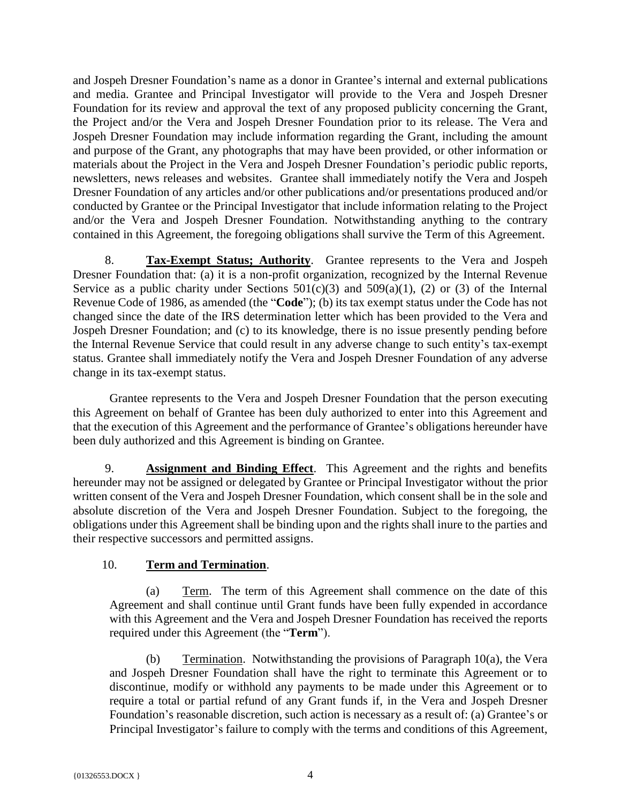and Jospeh Dresner Foundation's name as a donor in Grantee's internal and external publications and media. Grantee and Principal Investigator will provide to the Vera and Jospeh Dresner Foundation for its review and approval the text of any proposed publicity concerning the Grant, the Project and/or the Vera and Jospeh Dresner Foundation prior to its release. The Vera and Jospeh Dresner Foundation may include information regarding the Grant, including the amount and purpose of the Grant, any photographs that may have been provided, or other information or materials about the Project in the Vera and Jospeh Dresner Foundation's periodic public reports, newsletters, news releases and websites. Grantee shall immediately notify the Vera and Jospeh Dresner Foundation of any articles and/or other publications and/or presentations produced and/or conducted by Grantee or the Principal Investigator that include information relating to the Project and/or the Vera and Jospeh Dresner Foundation. Notwithstanding anything to the contrary contained in this Agreement, the foregoing obligations shall survive the Term of this Agreement.

8. **Tax-Exempt Status; Authority**. Grantee represents to the Vera and Jospeh Dresner Foundation that: (a) it is a non-profit organization, recognized by the Internal Revenue Service as a public charity under Sections  $501(c)(3)$  and  $509(a)(1)$ , (2) or (3) of the Internal Revenue Code of 1986, as amended (the "**Code**"); (b) its tax exempt status under the Code has not changed since the date of the IRS determination letter which has been provided to the Vera and Jospeh Dresner Foundation; and (c) to its knowledge, there is no issue presently pending before the Internal Revenue Service that could result in any adverse change to such entity's tax-exempt status. Grantee shall immediately notify the Vera and Jospeh Dresner Foundation of any adverse change in its tax-exempt status.

Grantee represents to the Vera and Jospeh Dresner Foundation that the person executing this Agreement on behalf of Grantee has been duly authorized to enter into this Agreement and that the execution of this Agreement and the performance of Grantee's obligations hereunder have been duly authorized and this Agreement is binding on Grantee.

9. **Assignment and Binding Effect**. This Agreement and the rights and benefits hereunder may not be assigned or delegated by Grantee or Principal Investigator without the prior written consent of the Vera and Jospeh Dresner Foundation, which consent shall be in the sole and absolute discretion of the Vera and Jospeh Dresner Foundation. Subject to the foregoing, the obligations under this Agreement shall be binding upon and the rights shall inure to the parties and their respective successors and permitted assigns.

## 10. **Term and Termination**.

(a) Term. The term of this Agreement shall commence on the date of this Agreement and shall continue until Grant funds have been fully expended in accordance with this Agreement and the Vera and Jospeh Dresner Foundation has received the reports required under this Agreement (the "**Term**").

(b) Termination. Notwithstanding the provisions of Paragraph  $10(a)$ , the Vera and Jospeh Dresner Foundation shall have the right to terminate this Agreement or to discontinue, modify or withhold any payments to be made under this Agreement or to require a total or partial refund of any Grant funds if, in the Vera and Jospeh Dresner Foundation's reasonable discretion, such action is necessary as a result of: (a) Grantee's or Principal Investigator's failure to comply with the terms and conditions of this Agreement,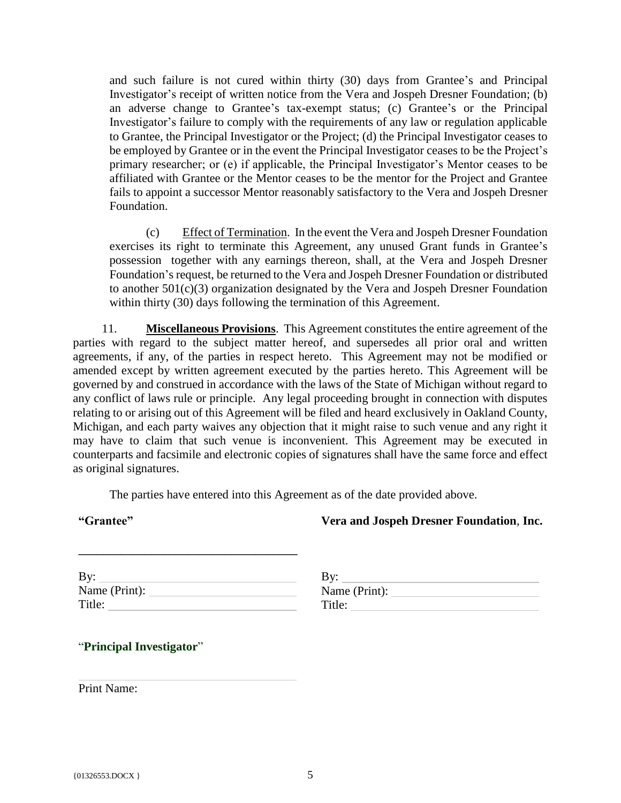and such failure is not cured within thirty (30) days from Grantee's and Principal Investigator's receipt of written notice from the Vera and Jospeh Dresner Foundation; (b) an adverse change to Grantee's tax-exempt status; (c) Grantee's or the Principal Investigator's failure to comply with the requirements of any law or regulation applicable to Grantee, the Principal Investigator or the Project; (d) the Principal Investigator ceases to be employed by Grantee or in the event the Principal Investigator ceases to be the Project's primary researcher; or (e) if applicable, the Principal Investigator's Mentor ceases to be affiliated with Grantee or the Mentor ceases to be the mentor for the Project and Grantee fails to appoint a successor Mentor reasonably satisfactory to the Vera and Jospeh Dresner Foundation.

(c) Effect of Termination. In the event the Vera and Jospeh Dresner Foundation exercises its right to terminate this Agreement, any unused Grant funds in Grantee's possession together with any earnings thereon, shall, at the Vera and Jospeh Dresner Foundation's request, be returned to the Vera and Jospeh Dresner Foundation or distributed to another 501(c)(3) organization designated by the Vera and Jospeh Dresner Foundation within thirty (30) days following the termination of this Agreement.

11. **Miscellaneous Provisions**. This Agreement constitutes the entire agreement of the parties with regard to the subject matter hereof, and supersedes all prior oral and written agreements, if any, of the parties in respect hereto. This Agreement may not be modified or amended except by written agreement executed by the parties hereto. This Agreement will be governed by and construed in accordance with the laws of the State of Michigan without regard to any conflict of laws rule or principle. Any legal proceeding brought in connection with disputes relating to or arising out of this Agreement will be filed and heard exclusively in Oakland County, Michigan, and each party waives any objection that it might raise to such venue and any right it may have to claim that such venue is inconvenient. This Agreement may be executed in counterparts and facsimile and electronic copies of signatures shall have the same force and effect as original signatures.

The parties have entered into this Agreement as of the date provided above.

## **Vera and Jospeh Dresner Foundation**, **Inc.**

| By:           |  |
|---------------|--|
| Name (Print): |  |
| Title:        |  |

**\_\_\_\_\_\_\_\_\_\_\_\_\_\_\_\_\_\_\_\_\_\_\_\_\_\_\_\_\_\_\_\_\_\_\_\_**

| By:           |  |
|---------------|--|
| Name (Print): |  |
| Title:        |  |

## "**Principal Investigator**"

Print Name: